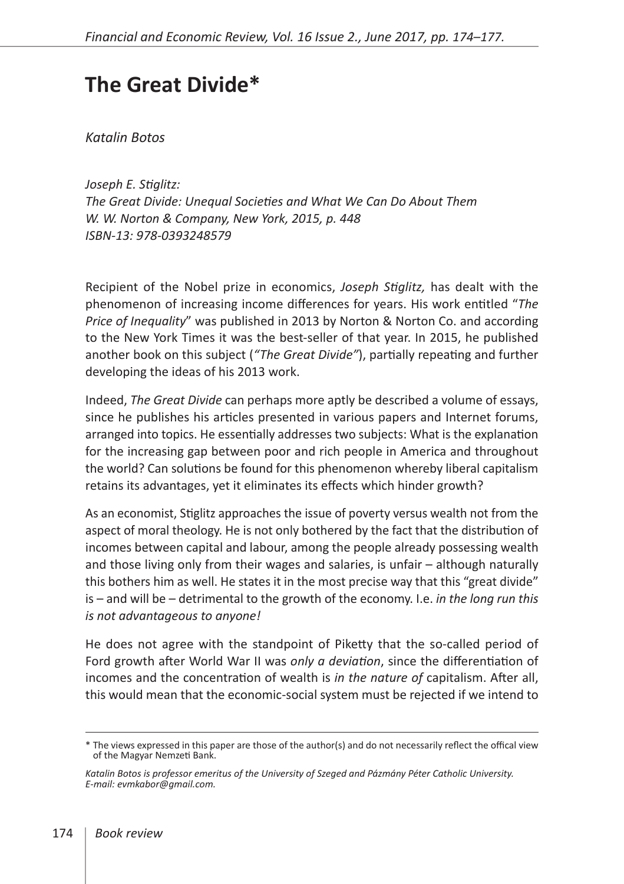## **The Great Divide\***

*Katalin Botos*

*Joseph E. Stiglitz: The Great Divide: Unequal Societies and What We Can Do About Them W. W. Norton & Company, New York, 2015, p. 448 ISBN-13: 978-0393248579*

Recipient of the Nobel prize in economics, *Joseph Stiglitz,* has dealt with the phenomenon of increasing income differences for years. His work entitled "*The Price of Inequality*" was published in 2013 by Norton & Norton Co. and according to the New York Times it was the best-seller of that year. In 2015, he published another book on this subject (*"The Great Divide"*), partially repeating and further developing the ideas of his 2013 work.

Indeed, *The Great Divide* can perhaps more aptly be described a volume of essays, since he publishes his articles presented in various papers and Internet forums, arranged into topics. He essentially addresses two subjects: What is the explanation for the increasing gap between poor and rich people in America and throughout the world? Can solutions be found for this phenomenon whereby liberal capitalism retains its advantages, yet it eliminates its effects which hinder growth?

As an economist, Stiglitz approaches the issue of poverty versus wealth not from the aspect of moral theology. He is not only bothered by the fact that the distribution of incomes between capital and labour, among the people already possessing wealth and those living only from their wages and salaries, is unfair – although naturally this bothers him as well. He states it in the most precise way that this "great divide" is – and will be – detrimental to the growth of the economy. I.e. *in the long run this is not advantageous to anyone!*

He does not agree with the standpoint of Piketty that the so-called period of Ford growth after World War II was *only a deviation*, since the differentiation of incomes and the concentration of wealth is *in the nature of* capitalism. After all, this would mean that the economic-social system must be rejected if we intend to

<sup>\*</sup> The views expressed in this paper are those of the author(s) and do not necessarily reflect the offical view of the Magyar Nemzeti Bank.

*Katalin Botos is professor emeritus of the University of Szeged and Pázmány Péter Catholic University. E-mail: evmkabor@gmail.com.*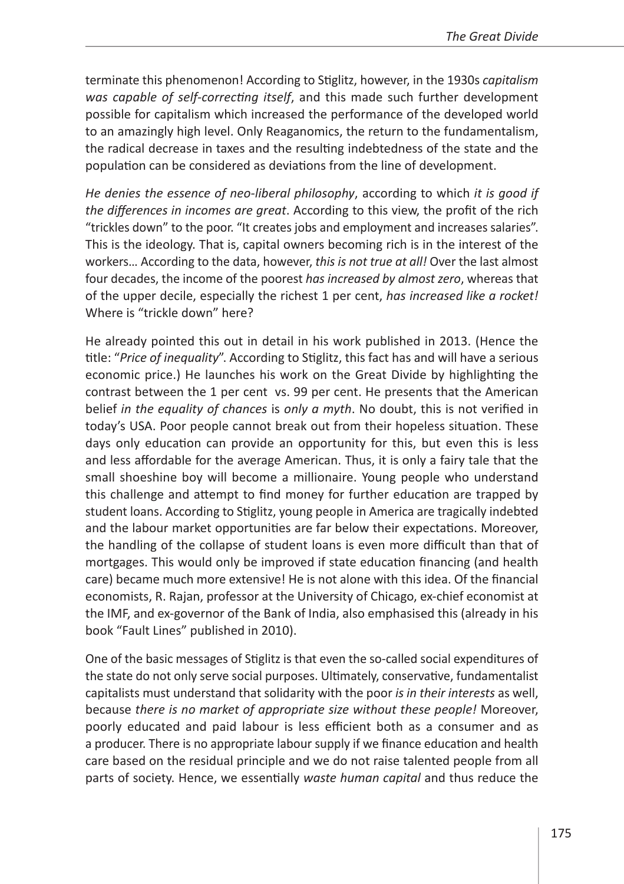terminate this phenomenon! According to Stiglitz, however, in the 1930s *capitalism was capable of self-correcting itself*, and this made such further development possible for capitalism which increased the performance of the developed world to an amazingly high level. Only Reaganomics, the return to the fundamentalism, the radical decrease in taxes and the resulting indebtedness of the state and the population can be considered as deviations from the line of development.

*He denies the essence of neo-liberal philosophy*, according to which *it is good if the differences in incomes are great*. According to this view, the profit of the rich "trickles down" to the poor. "It creates jobs and employment and increases salaries". This is the ideology. That is, capital owners becoming rich is in the interest of the workers… According to the data, however, *this is not true at all!* Over the last almost four decades, the income of the poorest *has increased by almost zero*, whereas that of the upper decile, especially the richest 1 per cent, *has increased like a rocket!* Where is "trickle down" here?

He already pointed this out in detail in his work published in 2013. (Hence the title: "*Price of inequality*". According to Stiglitz, this fact has and will have a serious economic price.) He launches his work on the Great Divide by highlighting the contrast between the 1 per cent vs. 99 per cent. He presents that the American belief *in the equality of chances* is *only a myth*. No doubt, this is not verified in today's USA. Poor people cannot break out from their hopeless situation. These days only education can provide an opportunity for this, but even this is less and less affordable for the average American. Thus, it is only a fairy tale that the small shoeshine boy will become a millionaire. Young people who understand this challenge and attempt to find money for further education are trapped by student loans. According to Stiglitz, young people in America are tragically indebted and the labour market opportunities are far below their expectations. Moreover, the handling of the collapse of student loans is even more difficult than that of mortgages. This would only be improved if state education financing (and health care) became much more extensive! He is not alone with this idea. Of the financial economists, R. Rajan, professor at the University of Chicago, ex-chief economist at the IMF, and ex-governor of the Bank of India, also emphasised this (already in his book "Fault Lines" published in 2010).

One of the basic messages of Stiglitz is that even the so-called social expenditures of the state do not only serve social purposes. Ultimately, conservative, fundamentalist capitalists must understand that solidarity with the poor *is in their interests* as well, because *there is no market of appropriate size without these people!* Moreover, poorly educated and paid labour is less efficient both as a consumer and as a producer. There is no appropriate labour supply if we finance education and health care based on the residual principle and we do not raise talented people from all parts of society. Hence, we essentially *waste human capital* and thus reduce the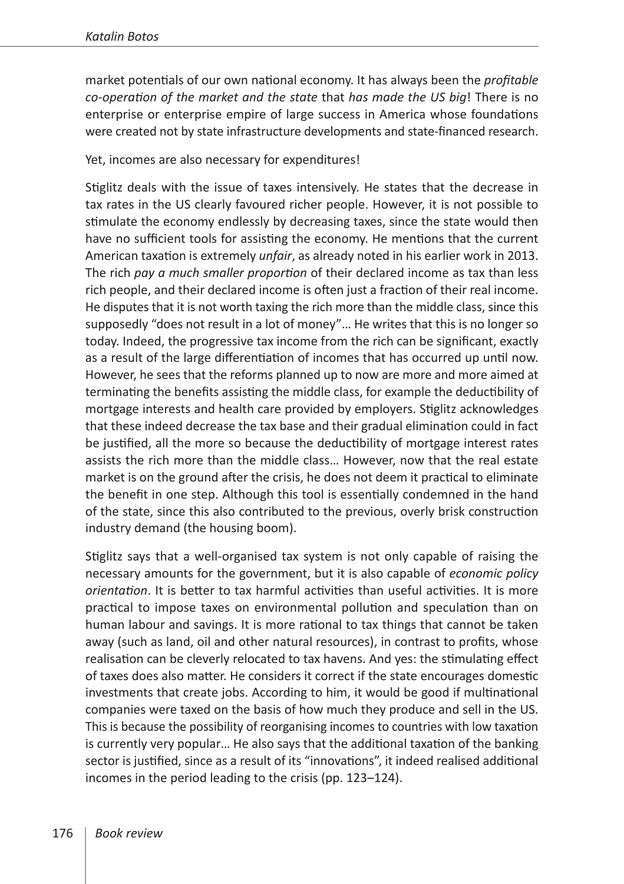market potentials of our own national economy. It has always been the *profitable co-operation of the market and the state* that *has made the US big*! There is no enterprise or enterprise empire of large success in America whose foundations were created not by state infrastructure developments and state-financed research.

Yet, incomes are also necessary for expenditures!

Stiglitz deals with the issue of taxes intensively. He states that the decrease in tax rates in the US clearly favoured richer people. However, it is not possible to stimulate the economy endlessly by decreasing taxes, since the state would then have no sufficient tools for assisting the economy. He mentions that the current American taxation is extremely *unfair*, as already noted in his earlier work in 2013. The rich *pay a much smaller proportion* of their declared income as tax than less rich people, and their declared income is often just a fraction of their real income. He disputes that it is not worth taxing the rich more than the middle class, since this supposedly "does not result in a lot of money"… He writes that this is no longer so today. Indeed, the progressive tax income from the rich can be significant, exactly as a result of the large differentiation of incomes that has occurred up until now. However, he sees that the reforms planned up to now are more and more aimed at terminating the benefits assisting the middle class, for example the deductibility of mortgage interests and health care provided by employers. Stiglitz acknowledges that these indeed decrease the tax base and their gradual elimination could in fact be justified, all the more so because the deductibility of mortgage interest rates assists the rich more than the middle class… However, now that the real estate market is on the ground after the crisis, he does not deem it practical to eliminate the benefit in one step. Although this tool is essentially condemned in the hand of the state, since this also contributed to the previous, overly brisk construction industry demand (the housing boom).

Stiglitz says that a well-organised tax system is not only capable of raising the necessary amounts for the government, but it is also capable of *economic policy orientation*. It is better to tax harmful activities than useful activities. It is more practical to impose taxes on environmental pollution and speculation than on human labour and savings. It is more rational to tax things that cannot be taken away (such as land, oil and other natural resources), in contrast to profits, whose realisation can be cleverly relocated to tax havens. And yes: the stimulating effect of taxes does also matter. He considers it correct if the state encourages domestic investments that create jobs. According to him, it would be good if multinational companies were taxed on the basis of how much they produce and sell in the US. This is because the possibility of reorganising incomes to countries with low taxation is currently very popular… He also says that the additional taxation of the banking sector is justified, since as a result of its "innovations", it indeed realised additional incomes in the period leading to the crisis (pp. 123–124).